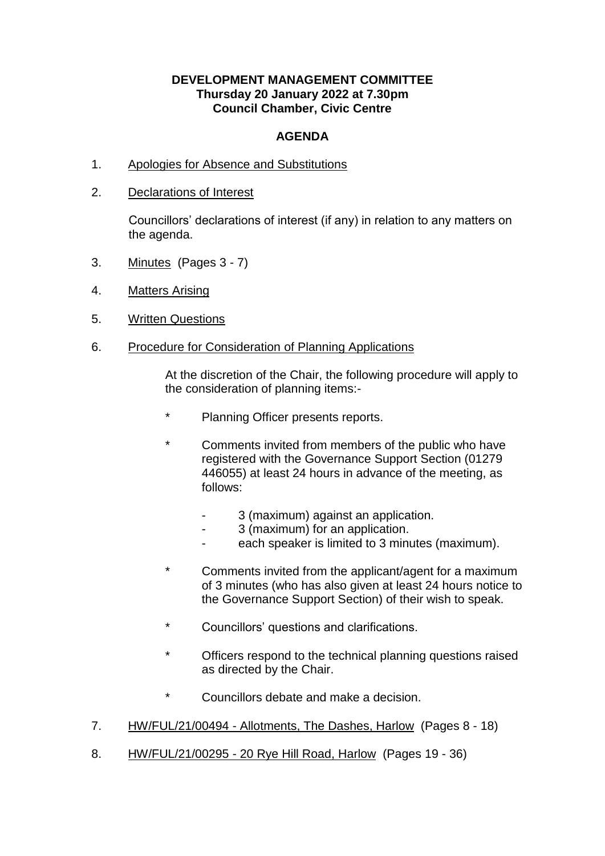## **DEVELOPMENT MANAGEMENT COMMITTEE Thursday 20 January 2022 at 7.30pm Council Chamber, Civic Centre**

## **AGENDA**

- 1. Apologies for Absence and Substitutions
- 2. Declarations of Interest

Councillors' declarations of interest (if any) in relation to any matters on the agenda.

- 3. Minutes (Pages 3 7)
- 4. Matters Arising
- 5. Written Questions
- 6. Procedure for Consideration of Planning Applications

At the discretion of the Chair, the following procedure will apply to the consideration of planning items:-

- \* Planning Officer presents reports.
- Comments invited from members of the public who have registered with the Governance Support Section (01279 446055) at least 24 hours in advance of the meeting, as follows:
	- 3 (maximum) against an application.
	- 3 (maximum) for an application.
	- each speaker is limited to 3 minutes (maximum).
- \* Comments invited from the applicant/agent for a maximum of 3 minutes (who has also given at least 24 hours notice to the Governance Support Section) of their wish to speak.
- \* Councillors' questions and clarifications.
- \* Officers respond to the technical planning questions raised as directed by the Chair.
- \* Councillors debate and make a decision.
- 7. HW/FUL/21/00494 Allotments, The Dashes, Harlow (Pages 8 18)
- 8. HW/FUL/21/00295 20 Rye Hill Road, Harlow (Pages 19 36)